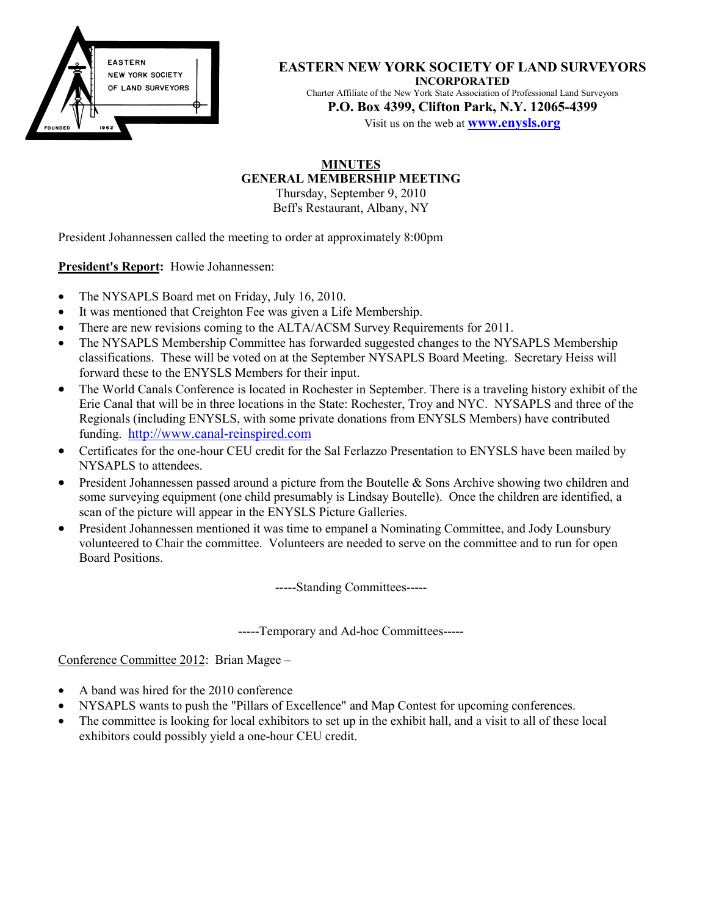

**EASTERN NEW YORK SOCIETY OF LAND SURVEYORS INCORPORATED** Charter Affiliate of the New York State Association of Professional Land Surveyors **P.O. Box 4399, Clifton Park, N.Y. 12065-4[399](http://www.canal-reinspired.com/)**

Visit us on the web at **www.enysls.org**

## **MINUTES GENERAL MEMBERSHIP MEETING**

Thursday, September 9, 2010 Beff's Restaurant, Albany, NY

President Johannessen called the meeting to order at approximately 8:00pm

**President's Report:** Howie Johannessen:

- The NYSAPLS Board met on Friday, July 16, 2010.
- It was mentioned that Creighton Fee was given a Life Membership.
- There are new revisions coming to the ALTA/ACSM Survey Requirements for 2011.
- The NYSAPLS Membership Committee has forwarded suggested changes to the NYSAPLS Membership classifications. These will be voted on at the September NYSAPLS Board Meeting. Secretary Heiss will forward these to the ENYSLS Members for their input.
- The World Canals Conference is located in Rochester in September. There is a traveling history exhibit of the Erie Canal that will be in three locations in the State: Rochester, Troy and NYC. NYSAPLS and three of the Regionals (including ENYSLS, with some private donations from ENYSLS Members) have contributed funding. [http://www.canal-reinspired.com](http://www.canal-reinspired.com/)
- Certificates for the one-hour CEU credit for the Sal Ferlazzo Presentation to ENYSLS have been mailed by NYSAPLS to attendees.
- President Johannessen passed around a picture from the Boutelle & Sons Archive showing two children and some surveying equipment (one child presumably is Lindsay Boutelle). Once the children are identified, a scan of the picture will appear in the ENYSLS Picture Galleries.
- President Johannessen mentioned it was time to empanel a Nominating Committee, and Jody Lounsbury volunteered to Chair the committee. Volunteers are needed to serve on the committee and to run for open Board Positions.

-----Standing Committees-----

-----Temporary and Ad-hoc Committees-----

Conference Committee 2012: Brian Magee –

- A band was hired for the 2010 conference
- NYSAPLS wants to push the "Pillars of Excellence" and Map Contest for upcoming conferences.
- The committee is looking for local exhibitors to set up in the exhibit hall, and a visit to all of these local exhibitors could possibly yield a one-hour CEU credit.